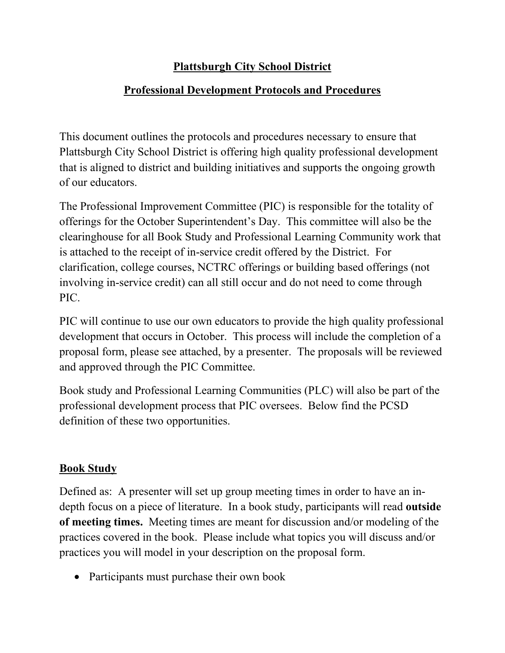#### **Plattsburgh City School District**

#### **Professional Development Protocols and Procedures**

This document outlines the protocols and procedures necessary to ensure that Plattsburgh City School District is offering high quality professional development that is aligned to district and building initiatives and supports the ongoing growth of our educators.

The Professional Improvement Committee (PIC) is responsible for the totality of offerings for the October Superintendent's Day. This committee will also be the clearinghouse for all Book Study and Professional Learning Community work that is attached to the receipt of in-service credit offered by the District. For clarification, college courses, NCTRC offerings or building based offerings (not involving in-service credit) can all still occur and do not need to come through PIC.

PIC will continue to use our own educators to provide the high quality professional development that occurs in October. This process will include the completion of a proposal form, please see attached, by a presenter. The proposals will be reviewed and approved through the PIC Committee.

Book study and Professional Learning Communities (PLC) will also be part of the professional development process that PIC oversees. Below find the PCSD definition of these two opportunities.

#### **Book Study**

Defined as: A presenter will set up group meeting times in order to have an indepth focus on a piece of literature. In a book study, participants will read **outside of meeting times.** Meeting times are meant for discussion and/or modeling of the practices covered in the book. Please include what topics you will discuss and/or practices you will model in your description on the proposal form.

• Participants must purchase their own book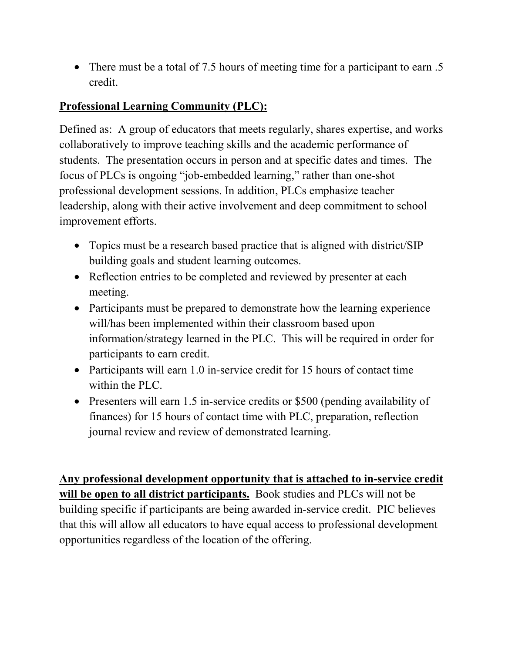• There must be a total of 7.5 hours of meeting time for a participant to earn .5 credit.

## **Professional Learning Community (PLC):**

Defined as: A group of educators that meets regularly, shares expertise, and works collaboratively to improve teaching skills and the academic performance of students. The presentation occurs in person and at specific dates and times. The focus of PLCs is ongoing "job-embedded learning," rather than one-shot professional development sessions. In addition, PLCs emphasize teacher leadership, along with their active involvement and deep commitment to school improvement efforts.

- Topics must be a research based practice that is aligned with district/SIP building goals and student learning outcomes.
- Reflection entries to be completed and reviewed by presenter at each meeting.
- Participants must be prepared to demonstrate how the learning experience will/has been implemented within their classroom based upon information/strategy learned in the PLC. This will be required in order for participants to earn credit.
- Participants will earn 1.0 in-service credit for 15 hours of contact time within the PLC.
- Presenters will earn 1.5 in-service credits or \$500 (pending availability of finances) for 15 hours of contact time with PLC, preparation, reflection journal review and review of demonstrated learning.

**Any professional development opportunity that is attached to in-service credit will be open to all district participants.** Book studies and PLCs will not be building specific if participants are being awarded in-service credit. PIC believes that this will allow all educators to have equal access to professional development opportunities regardless of the location of the offering.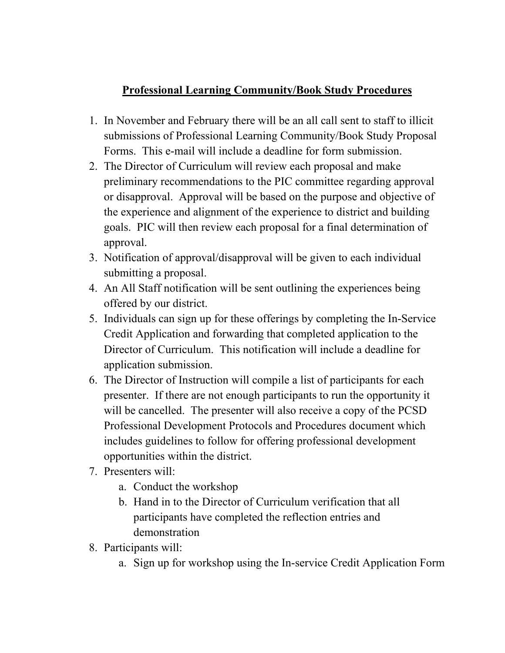## **Professional Learning Community/Book Study Procedures**

- 1. In November and February there will be an all call sent to staff to illicit submissions of Professional Learning Community/Book Study Proposal Forms. This e-mail will include a deadline for form submission.
- 2. The Director of Curriculum will review each proposal and make preliminary recommendations to the PIC committee regarding approval or disapproval. Approval will be based on the purpose and objective of the experience and alignment of the experience to district and building goals. PIC will then review each proposal for a final determination of approval.
- 3. Notification of approval/disapproval will be given to each individual submitting a proposal.
- 4. An All Staff notification will be sent outlining the experiences being offered by our district.
- 5. Individuals can sign up for these offerings by completing the In-Service Credit Application and forwarding that completed application to the Director of Curriculum. This notification will include a deadline for application submission.
- 6. The Director of Instruction will compile a list of participants for each presenter. If there are not enough participants to run the opportunity it will be cancelled. The presenter will also receive a copy of the PCSD Professional Development Protocols and Procedures document which includes guidelines to follow for offering professional development opportunities within the district.
- 7. Presenters will:
	- a. Conduct the workshop
	- b. Hand in to the Director of Curriculum verification that all participants have completed the reflection entries and demonstration
- 8. Participants will:
	- a. Sign up for workshop using the In-service Credit Application Form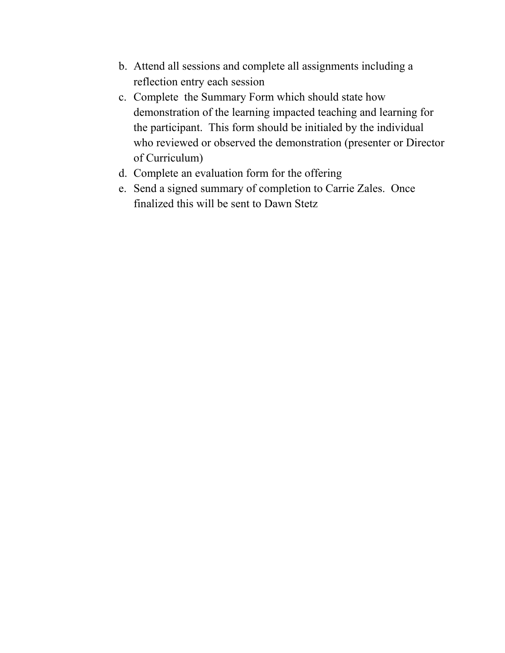- b. Attend all sessions and complete all assignments including a reflection entry each session
- c. Complete the Summary Form which should state how demonstration of the learning impacted teaching and learning for the participant. This form should be initialed by the individual who reviewed or observed the demonstration (presenter or Director of Curriculum)
- d. Complete an evaluation form for the offering
- e. Send a signed summary of completion to Carrie Zales. Once finalized this will be sent to Dawn Stetz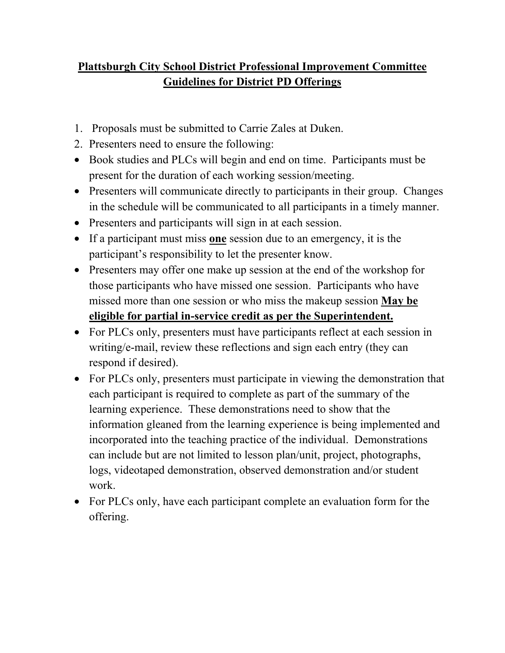# **Plattsburgh City School District Professional Improvement Committee Guidelines for District PD Offerings**

- 1. Proposals must be submitted to Carrie Zales at Duken.
- 2. Presenters need to ensure the following:
- Book studies and PLCs will begin and end on time. Participants must be present for the duration of each working session/meeting.
- Presenters will communicate directly to participants in their group. Changes in the schedule will be communicated to all participants in a timely manner.
- Presenters and participants will sign in at each session.
- If a participant must miss **one** session due to an emergency, it is the participant's responsibility to let the presenter know.
- Presenters may offer one make up session at the end of the workshop for those participants who have missed one session. Participants who have missed more than one session or who miss the makeup session **May be eligible for partial in-service credit as per the Superintendent.**
- For PLCs only, presenters must have participants reflect at each session in writing/e-mail, review these reflections and sign each entry (they can respond if desired).
- For PLCs only, presenters must participate in viewing the demonstration that each participant is required to complete as part of the summary of the learning experience. These demonstrations need to show that the information gleaned from the learning experience is being implemented and incorporated into the teaching practice of the individual. Demonstrations can include but are not limited to lesson plan/unit, project, photographs, logs, videotaped demonstration, observed demonstration and/or student work.
- For PLCs only, have each participant complete an evaluation form for the offering.